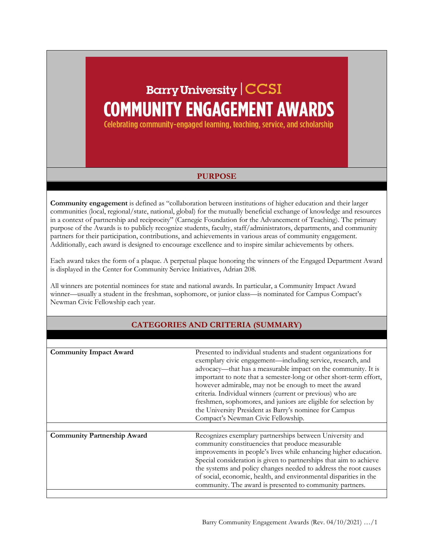## **Barry University | CCSI COMMUNITY ENGAGEMENT AWARDS**

Celebrating community-engaged learning, teaching, service, and scholarship

## **PURPOSE**

**Community engagement** is defined as "collaboration between institutions of higher education and their larger communities (local, regional/state, national, global) for the mutually beneficial exchange of knowledge and resources in a context of partnership and reciprocity" (Carnegie Foundation for the Advancement of Teaching). The primary purpose of the Awards is to publicly recognize students, faculty, staff/administrators, departments, and community partners for their participation, contributions, and achievements in various areas of community engagement. Additionally, each award is designed to encourage excellence and to inspire similar achievements by others.

Each award takes the form of a plaque. A perpetual plaque honoring the winners of the Engaged Department Award is displayed in the Center for Community Service Initiatives, Adrian 208.

All winners are potential nominees for state and national awards. In particular, a Community Impact Award winner—usually a student in the freshman, sophomore, or junior class—is nominated for Campus Compact's Newman Civic Fellowship each year.

| <b>Community Impact Award</b>      | Presented to individual students and student organizations for<br>exemplary civic engagement-including service, research, and<br>advocacy—that has a measurable impact on the community. It is<br>important to note that a semester-long or other short-term effort,<br>however admirable, may not be enough to meet the award<br>criteria. Individual winners (current or previous) who are<br>freshmen, sophomores, and juniors are eligible for selection by<br>the University President as Barry's nominee for Campus<br>Compact's Newman Civic Fellowship. |
|------------------------------------|-----------------------------------------------------------------------------------------------------------------------------------------------------------------------------------------------------------------------------------------------------------------------------------------------------------------------------------------------------------------------------------------------------------------------------------------------------------------------------------------------------------------------------------------------------------------|
|                                    |                                                                                                                                                                                                                                                                                                                                                                                                                                                                                                                                                                 |
|                                    |                                                                                                                                                                                                                                                                                                                                                                                                                                                                                                                                                                 |
| <b>Community Partnership Award</b> | Recognizes exemplary partnerships between University and<br>community constituencies that produce measurable<br>improvements in people's lives while enhancing higher education.<br>Special consideration is given to partnerships that aim to achieve<br>the systems and policy changes needed to address the root causes<br>of social, economic, health, and environmental disparities in the<br>community. The award is presented to community partners.                                                                                                     |

## **CATEGORIES AND CRITERIA (SUMMARY)**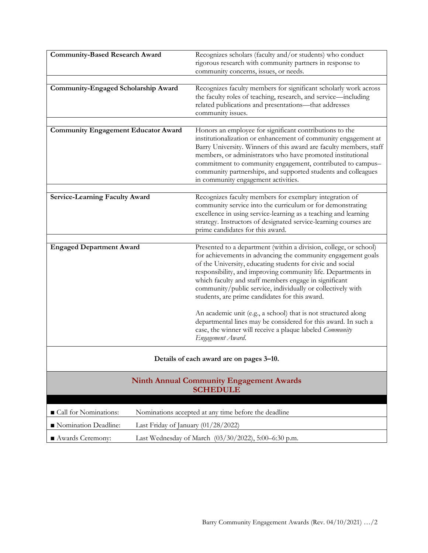| <b>Community-Based Research Award</b>                                         | Recognizes scholars (faculty and/or students) who conduct                                                                                                                                                                                                                                                                                                                |
|-------------------------------------------------------------------------------|--------------------------------------------------------------------------------------------------------------------------------------------------------------------------------------------------------------------------------------------------------------------------------------------------------------------------------------------------------------------------|
|                                                                               | rigorous research with community partners in response to<br>community concerns, issues, or needs.                                                                                                                                                                                                                                                                        |
|                                                                               |                                                                                                                                                                                                                                                                                                                                                                          |
| Community-Engaged Scholarship Award                                           | Recognizes faculty members for significant scholarly work across<br>the faculty roles of teaching, research, and service-including<br>related publications and presentations-that addresses<br>community issues.                                                                                                                                                         |
| <b>Community Engagement Educator Award</b>                                    | Honors an employee for significant contributions to the                                                                                                                                                                                                                                                                                                                  |
|                                                                               | institutionalization or enhancement of community engagement at<br>Barry University. Winners of this award are faculty members, staff<br>members, or administrators who have promoted institutional<br>commitment to community engagement, contributed to campus-<br>community partnerships, and supported students and colleagues<br>in community engagement activities. |
|                                                                               |                                                                                                                                                                                                                                                                                                                                                                          |
| <b>Service-Learning Faculty Award</b>                                         | Recognizes faculty members for exemplary integration of<br>community service into the curriculum or for demonstrating<br>excellence in using service-learning as a teaching and learning<br>strategy. Instructors of designated service-learning courses are<br>prime candidates for this award.                                                                         |
| <b>Engaged Department Award</b>                                               | Presented to a department (within a division, college, or school)                                                                                                                                                                                                                                                                                                        |
|                                                                               | for achievements in advancing the community engagement goals<br>of the University, educating students for civic and social<br>responsibility, and improving community life. Departments in<br>which faculty and staff members engage in significant<br>community/public service, individually or collectively with<br>students, are prime candidates for this award.     |
|                                                                               | An academic unit (e.g., a school) that is not structured along<br>departmental lines may be considered for this award. In such a<br>case, the winner will receive a plaque labeled Community<br>Engagement Award.                                                                                                                                                        |
| Details of each award are on pages 3–10.                                      |                                                                                                                                                                                                                                                                                                                                                                          |
| <b>Ninth Annual Community Engagement Awards</b><br><b>SCHEDULE</b>            |                                                                                                                                                                                                                                                                                                                                                                          |
| Call for Nominations:<br>Nominations accepted at any time before the deadline |                                                                                                                                                                                                                                                                                                                                                                          |
| Nomination Deadline:<br>Last Friday of January (01/28/2022)                   |                                                                                                                                                                                                                                                                                                                                                                          |
| Awards Ceremony:<br>Last Wednesday of March (03/30/2022), 5:00-6:30 p.m.      |                                                                                                                                                                                                                                                                                                                                                                          |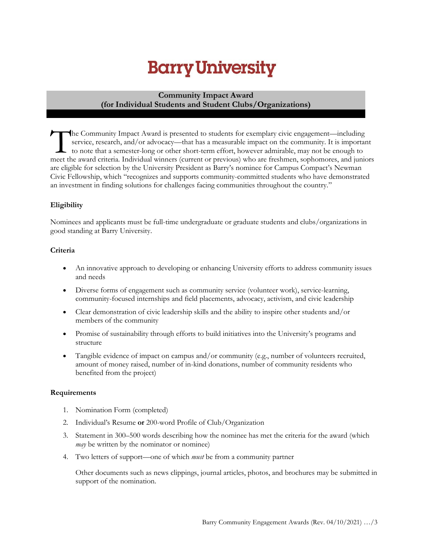## **Community Impact Award (for Individual Students and Student Clubs/Organizations)**

he Community Impact Award is presented to students for exemplary civic engagement—including service, research, and/or advocacy—that has a measurable impact on the community. It is important to note that a semester-long or other short-term effort, however admirable, may not be enough to The Community Impact Award is presented to students for exemplary civic engagement—including<br>service, research, and/or advocacy—that has a measurable impact on the community. It is important<br>to note that a semester-long or are eligible for selection by the University President as Barry's nominee for Campus Compact's Newman Civic Fellowship, which "recognizes and supports community-committed students who have demonstrated an investment in finding solutions for challenges facing communities throughout the country."

## **Eligibility**

Nominees and applicants must be full-time undergraduate or graduate students and clubs/organizations in good standing at Barry University.

### **Criteria**

- An innovative approach to developing or enhancing University efforts to address community issues and needs
- Diverse forms of engagement such as community service (volunteer work), service-learning, community-focused internships and field placements, advocacy, activism, and civic leadership
- Clear demonstration of civic leadership skills and the ability to inspire other students and/or members of the community
- Promise of sustainability through efforts to build initiatives into the University's programs and structure
- Tangible evidence of impact on campus and/or community (e.g., number of volunteers recruited, amount of money raised, number of in-kind donations, number of community residents who benefited from the project)

### **Requirements**

- 1. Nomination Form (completed)
- 2. Individual's Resume **or** 200-word Profile of Club/Organization
- 3. Statement in 300–500 words describing how the nominee has met the criteria for the award (which *may* be written by the nominator or nominee)
- 4. Two letters of support—one of which *must* be from a community partner

Other documents such as news clippings, journal articles, photos, and brochures may be submitted in support of the nomination.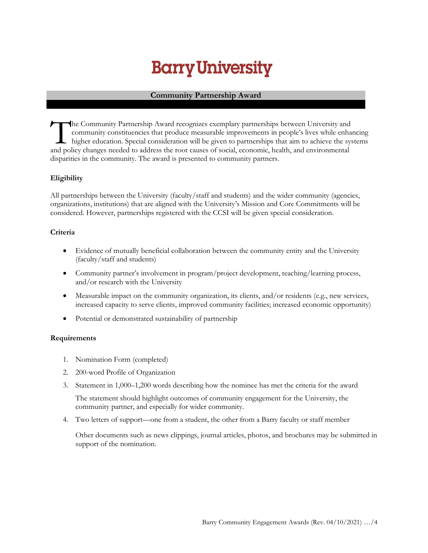## **Community Partnership Award**

he Community Partnership Award recognizes exemplary partnerships between University and community constituencies that produce measurable improvements in people's lives while enhancing higher education. Special consideration will be given to partnerships that aim to achieve the systems The Community Partnership Award recognizes exemplary partnerships between University and<br>
community constituencies that produce measurable improvements in people's lives while enha<br>
higher education. Special consideration disparities in the community. The award is presented to community partners.

## **Eligibility**

All partnerships between the University (faculty/staff and students) and the wider community (agencies, organizations, institutions) that are aligned with the University's Mission and Core Commitments will be considered. However, partnerships registered with the CCSI will be given special consideration.

### **Criteria**

- Evidence of mutually beneficial collaboration between the community entity and the University (faculty/staff and students)
- Community partner's involvement in program/project development, teaching/learning process, and/or research with the University
- Measurable impact on the community organization, its clients, and/or residents (e.g., new services, increased capacity to serve clients, improved community facilities; increased economic opportunity)
- Potential or demonstrated sustainability of partnership

### **Requirements**

- 1. Nomination Form (completed)
- 2. 200-word Profile of Organization
- 3. Statement in 1,000–1,200 words describing how the nominee has met the criteria for the award

The statement should highlight outcomes of community engagement for the University, the community partner, and especially for wider community.

4. Two letters of support—one from a student, the other from a Barry faculty or staff member

Other documents such as news clippings, journal articles, photos, and brochures may be submitted in support of the nomination.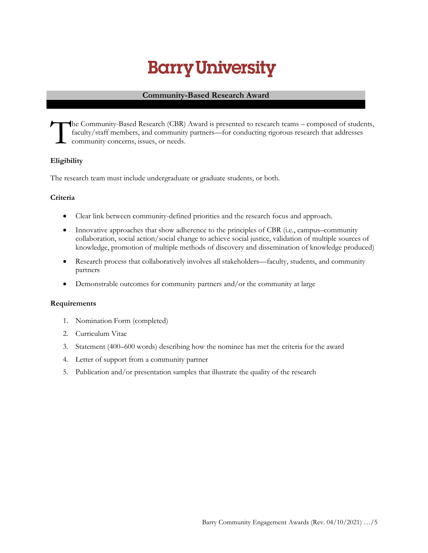### **Community-Based Research Award**

he Community-Based Research (CBR) Award is presented to research teams – composed of students, faculty/staff members, and community partners—for conducting rigorous research that addresses community concerns, issues, or needs. T

## **Eligibility**

The research team must include undergraduate or graduate students, or both.

### **Criteria**

- Clear link between community-defined priorities and the research focus and approach.
- Innovative approaches that show adherence to the principles of CBR (i.e., campus–community collaboration, social action/social change to achieve social justice, validation of multiple sources of knowledge, promotion of multiple methods of discovery and dissemination of knowledge produced)
- Research process that collaboratively involves all stakeholders—faculty, students, and community partners
- Demonstrable outcomes for community partners and/or the community at large

### **Requirements**

- 1. Nomination Form (completed)
- 2. Curriculum Vitae
- 3. Statement (400–600 words) describing how the nominee has met the criteria for the award
- 4. Letter of support from a community partner
- 5. Publication and/or presentation samples that illustrate the quality of the research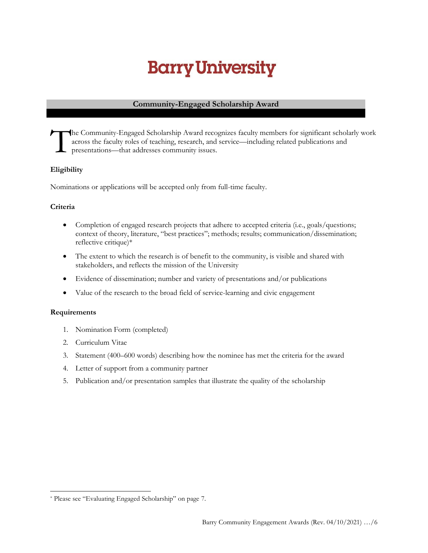## **Community-Engaged Scholarship Award**

he Community-Engaged Scholarship Award recognizes faculty members for significant scholarly work across the faculty roles of teaching, research, and service—including related publications and presentations—that addresses community issues. T

## **Eligibility**

Nominations or applications will be accepted only from full-time faculty.

## **Criteria**

- Completion of engaged research projects that adhere to accepted criteria (i.e., goals/questions; context of theory, literature, "best practices"; methods; results; communication/dissemination; reflective critique)\*
- The extent to which the research is of benefit to the community, is visible and shared with stakeholders, and reflects the mission of the University
- Evidence of dissemination; number and variety of presentations and/or publications
- Value of the research to the broad field of service-learning and civic engagement

### **Requirements**

- 1. Nomination Form (completed)
- 2. Curriculum Vitae
- 3. Statement (400–600 words) describing how the nominee has met the criteria for the award
- 4. Letter of support from a community partner
- 5. Publication and/or presentation samples that illustrate the quality of the scholarship

<sup>\*</sup> Please see "Evaluating Engaged Scholarship" on page 7.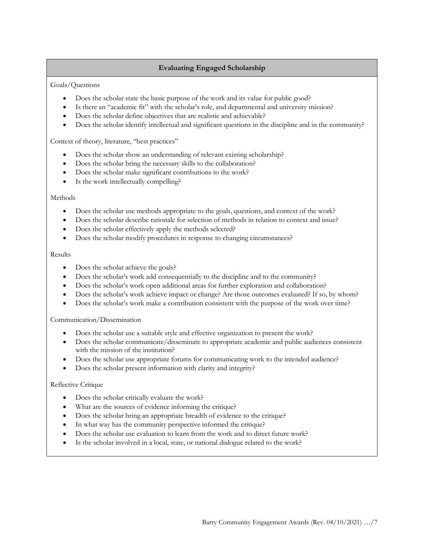## **Evaluating Engaged Scholarship**

#### Goals/Questions

- Does the scholar state the basic purpose of the work and its value for public good?
- Is there an "academic fit" with the scholar's role, and departmental and university mission?
- Does the scholar define objectives that are realistic and achievable?
- Does the scholar identify intellectual and significant questions in the discipline and in the community?

Context of theory, literature, "best practices"

- Does the scholar show an understanding of relevant existing scholarship?
- Does the scholar bring the necessary skills to the collaboration?
- Does the scholar make significant contributions to the work?
- Is the work intellectually compelling?

#### **Methods**

- Does the scholar use methods appropriate to the goals, questions, and context of the work?
- Does the scholar describe rationale for selection of methods in relation to context and issue?
- Does the scholar effectively apply the methods selected?
- Does the scholar modify procedures in response to changing circumstances?

#### Results

- Does the scholar achieve the goals?
- Does the scholar's work add consequentially to the discipline and to the community?
- Does the scholar's work open additional areas for further exploration and collaboration?
- Does the scholar's work achieve impact or change? Are those outcomes evaluated? If so, by whom?
- Does the scholar's work make a contribution consistent with the purpose of the work over time?

Communication/Dissemination

- Does the scholar use a suitable style and effective organization to present the work?
- Does the scholar communicate/disseminate to appropriate academic and public audiences consistent with the mission of the institution?
- Does the scholar use appropriate forums for communicating work to the intended audience?
- Does the scholar present information with clarity and integrity?

#### Reflective Critique

- Does the scholar critically evaluate the work?
- What are the sources of evidence informing the critique?
- Does the scholar bring an appropriate breadth of evidence to the critique?
- In what way has the community perspective informed the critique?
- Does the scholar use evaluation to learn from the work and to direct future work?
- Is the scholar involved in a local, state, or national dialogue related to the work?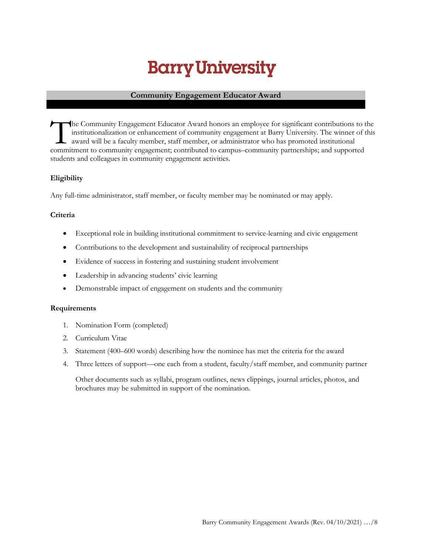## **Community Engagement Educator Award**

he Community Engagement Educator Award honors an employee for significant contributions to the institutionalization or enhancement of community engagement at Barry University. The winner of this award will be a faculty member, staff member, or administrator who has promoted institutional The Community Engagement Educator Award honors an employee for significant contributions to institutionalization or enhancement of community engagement at Barry University. The winner of award will be a faculty member, sta students and colleagues in community engagement activities.

## **Eligibility**

Any full-time administrator, staff member, or faculty member may be nominated or may apply.

## **Criteria**

- Exceptional role in building institutional commitment to service-learning and civic engagement
- Contributions to the development and sustainability of reciprocal partnerships
- Evidence of success in fostering and sustaining student involvement
- Leadership in advancing students' civic learning
- Demonstrable impact of engagement on students and the community

#### **Requirements**

- 1. Nomination Form (completed)
- 2. Curriculum Vitae
- 3. Statement (400–600 words) describing how the nominee has met the criteria for the award
- 4. Three letters of support—one each from a student, faculty/staff member, and community partner

Other documents such as syllabi, program outlines, news clippings, journal articles, photos, and brochures may be submitted in support of the nomination.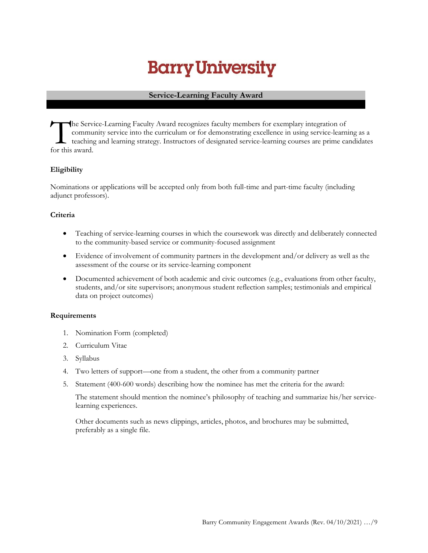## **Service-Learning Faculty Award**

he Service-Learning Faculty Award recognizes faculty members for exemplary integration of community service into the curriculum or for demonstrating excellence in using service-learning as a teaching and learning strategy. Instructors of designated service-learning courses are prime candidates the Serv<br>commu<br>for this award.

## **Eligibility**

Nominations or applications will be accepted only from both full-time and part-time faculty (including adjunct professors).

### **Criteria**

- Teaching of service-learning courses in which the coursework was directly and deliberately connected to the community-based service or community-focused assignment
- Evidence of involvement of community partners in the development and/or delivery as well as the assessment of the course or its service-learning component
- Documented achievement of both academic and civic outcomes (e.g., evaluations from other faculty, students, and/or site supervisors; anonymous student reflection samples; testimonials and empirical data on project outcomes)

### **Requirements**

- 1. Nomination Form (completed)
- 2. Curriculum Vitae
- 3. Syllabus
- 4. Two letters of support—one from a student, the other from a community partner
- 5. Statement (400-600 words) describing how the nominee has met the criteria for the award:

The statement should mention the nominee's philosophy of teaching and summarize his/her servicelearning experiences.

Other documents such as news clippings, articles, photos, and brochures may be submitted, preferably as a single file.